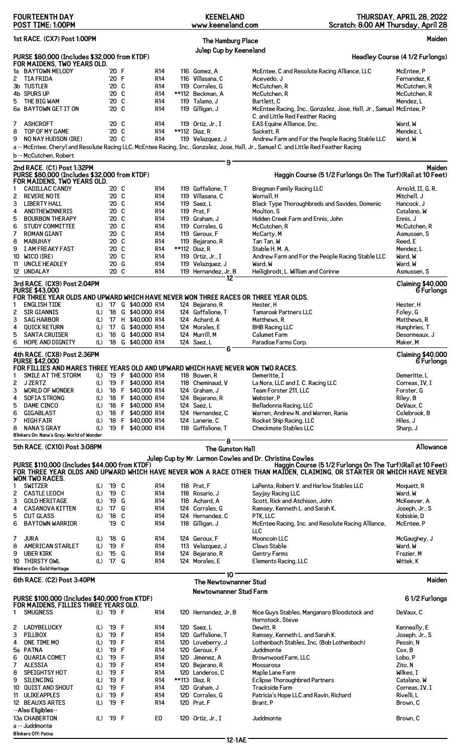|        | <b>FOURTEENTH DAY</b><br>POST TIME: 1:00PM                                             |            |                      |   |                                  | <b>KEENELAND</b><br>www.keeneland.com |                  | Scratch: 8:00 AM Thursday, April 28                                                                                                                                                    | THURSDAY, APRIL 28, 2022               |
|--------|----------------------------------------------------------------------------------------|------------|----------------------|---|----------------------------------|---------------------------------------|------------------|----------------------------------------------------------------------------------------------------------------------------------------------------------------------------------------|----------------------------------------|
|        | 1st RACE. (CX7) Post 1:00PM                                                            |            |                      |   |                                  | <b>The Hamburg Place</b>              |                  |                                                                                                                                                                                        | Maiden                                 |
|        | PURSE \$80,000 (Includes \$32,000 from KTDF)                                           |            |                      |   |                                  | Julep Cup by Keeneland                |                  |                                                                                                                                                                                        | Headley Course (4 1/2 Furlongs)        |
|        | FOR MAIDENS, TWO YEARS OLD.                                                            |            |                      |   |                                  |                                       |                  |                                                                                                                                                                                        |                                        |
|        | 1a BAYTOWN MELODY                                                                      |            | '20 F                |   | <b>R14</b>                       | 116 Gomez, A                          |                  | McEntee, C and Resolute Racing Alliance, LLC                                                                                                                                           | McEntee, P                             |
| 2      | <b>TIA FRIDA</b><br>3b TUSTLER                                                         |            | '20 F<br>'20 C       |   | <b>R14</b><br>R14                | 116 Villasana, C<br>119 Corrales, G   |                  | Acevedo, J<br>McCutchen, R                                                                                                                                                             | Fernandez, K<br>McCutchen, R           |
|        | 4b SPURS UP                                                                            |            | '20 C                |   | <b>R14</b>                       | **112 Beckman, A                      |                  | McCutchen, R                                                                                                                                                                           | McCutchen, R                           |
| 5      | THE BIG WAM                                                                            |            | '20 C                |   | <b>R14</b>                       | 119 Talamo, J                         |                  | Bartlett, C                                                                                                                                                                            | Mendez, L                              |
|        | 6a BAYTOWN GET IT ON                                                                   |            | '20 C                |   | R14                              | 119 Gilligan, J                       |                  | McEntee Racing, Inc., Gonzalez, Jose, Hall, Jr., Samuel McEntee, P                                                                                                                     |                                        |
|        |                                                                                        |            |                      |   |                                  |                                       |                  | C. and Little Red Feather Racing                                                                                                                                                       |                                        |
| 7      | <b>ASHCROFT</b>                                                                        |            | '20 C                |   | <b>R14</b>                       | 119 Ortiz, Jr., I                     |                  | EAS Equine Alliance, Inc.                                                                                                                                                              | Ward, W                                |
| 8      | TOP OF MY GAME                                                                         |            | '20 C                |   | R <sub>14</sub>                  | **112 Diaz, R                         |                  | Sackett, R                                                                                                                                                                             | Mendez, L                              |
| 9      | NO NAY HUDSON (IRE)                                                                    |            | '20 C                |   | <b>R14</b>                       | 119 Velazquez, J                      |                  | Andrew Farm and For the People Racing Stable LLC                                                                                                                                       | Ward, W                                |
|        |                                                                                        |            |                      |   |                                  |                                       |                  | a -- McEntee, Cheryl and Resolute Racing LLC: McEntee Racing, Inc., Gonzalez, Jose, Hall, Jr., Samuel C. and Little Red Feather Racing                                                 |                                        |
|        | b -- McCutchen, Robert                                                                 |            |                      |   |                                  |                                       | 9                |                                                                                                                                                                                        |                                        |
|        | 2nd RACE. (C1) Post 1:32PM<br>PURSE \$80,000 (Includes \$32,000 from KTDF)             |            |                      |   |                                  |                                       |                  | Haggin Course (5 1/2 Furlongs On The Turf) (Rail at 10 Feet)                                                                                                                           | Maiden                                 |
|        | FOR MAIDENS, TWO YEARS OLD.                                                            |            |                      |   |                                  |                                       |                  |                                                                                                                                                                                        |                                        |
| 1      | <b>CADILLAC CANDY</b>                                                                  |            | '20 C                |   | <b>R14</b>                       | 119 Gaffalione, T                     |                  | Bregman Family Racing LLC                                                                                                                                                              | Arnold, II, G. R.                      |
| 2      | <b>REVERE NOTE</b>                                                                     |            | '20 C<br>'20 C       |   | <b>R14</b>                       | 119 Villasana, C<br>119 Saez.L        |                  | Wornall. H                                                                                                                                                                             | Mitchell, J                            |
| 3<br>4 | <b>LIBERTY HALL</b><br><b>ANDTHEWINNERIS</b>                                           |            | '20 C                |   | R <sub>14</sub><br><b>R14</b>    | 119 Prat, F                           |                  | Black Type Thoroughbreds and Savides, Domenic<br>Moulton, S                                                                                                                            | Hancock, J<br>Catalano, W              |
| 5      | <b>BOURBON THERAPY</b>                                                                 |            | '20 C                |   | <b>R14</b>                       | 119 Graham, J                         |                  | Hidden Creek Farm and Ennis, John                                                                                                                                                      | Ennis, J                               |
| 6      | <b>STUDY COMMITTEE</b>                                                                 |            | '20 C                |   | R14                              | 119 Corrales, G                       |                  | McCutchen, R                                                                                                                                                                           | McCutchen. R                           |
| 7      | <b>ROMAN GIANT</b>                                                                     |            | '20 C                |   | R14                              | 119 Geroux, F                         |                  | McCarty, M                                                                                                                                                                             | Asmussen, S                            |
| 8      | <b>MABUHAY</b>                                                                         |            | '20 C                |   | <b>R14</b>                       | 119 Bejarano, R                       |                  | Tan Tan, W                                                                                                                                                                             | Reed, E                                |
| 9      | I AM FREAKY FAST                                                                       |            | '20 C                |   | <b>R14</b>                       | **112 Diaz, R                         |                  | Stable H. M. A.                                                                                                                                                                        | Mendez, L                              |
| 10     | WICO (IRE)                                                                             |            | '20 C                |   | R14                              | 119 Ortiz, Jr., I                     |                  | Andrew Farm and For the People Racing Stable LLC                                                                                                                                       | Ward, W                                |
| 11     | UNCLE HEADLEY                                                                          |            | '20 G                |   | <b>R14</b>                       | 119 Velazquez, J                      |                  | Ward, W                                                                                                                                                                                | Ward, W                                |
|        | 12 UNDALAY                                                                             |            | '20 C                |   | <b>R14</b>                       | 119 Hernandez, Jr, B                  |                  | Heiligbrodt, L. William and Corinne                                                                                                                                                    | Asmussen, S                            |
|        | 3rd RACE. (CX9) Post 2:04PM                                                            |            |                      |   |                                  |                                       | 12.              |                                                                                                                                                                                        | <b>Claiming \$40,000</b>               |
|        | <b>PURSE \$43,000</b>                                                                  |            |                      |   |                                  |                                       |                  |                                                                                                                                                                                        | 6 Furlongs                             |
|        | FOR THREE YEAR OLDS AND UPWARD WHICH HAVE NEVER WON THREE RACES OR THREE YEAR OLDS.    |            |                      |   |                                  |                                       |                  |                                                                                                                                                                                        |                                        |
| 1      | <b>ENGLISH TIDE</b>                                                                    | (L)        |                      |   | '17 G \$40,000 R14               | 124 Bejarano, R                       |                  | Hester, H                                                                                                                                                                              | Hester, H                              |
| 2      | <b>SIR GIANNIS</b>                                                                     | (L)        | '18                  |   | G \$40,000 R14                   | 124 Gaffalione, T                     |                  | <b>Tamaroak Partners LLC</b><br>Matthews, R                                                                                                                                            | Foley, G<br>Matthews, R                |
| 3<br>4 | <b>SAG HARBOR</b><br><b>QUICK RETURN</b>                                               | (L)<br>(L) | '17<br>$^{\prime}17$ |   | H \$40,000 R14<br>G \$40,000 R14 | 124 Achard, A<br>124 Morales, E       |                  | <b>BHB Racing LLC</b>                                                                                                                                                                  | Humphries, T                           |
| 5      | <b>SANTA CRUISER</b>                                                                   | (L)        | $^{\prime}18$        |   | G \$40,000 R14                   | 124 Murrill, M                        |                  | <b>Calumet Farm</b>                                                                                                                                                                    | Desormeaux, J                          |
| 6      | <b>HOPE AND DIGNITY</b>                                                                | (L)        | $^{\prime}18$        |   | G \$40,000 R14                   | 124 Saez, L                           |                  | Paradise Farms Corp.                                                                                                                                                                   | Maker, M                               |
|        |                                                                                        |            |                      |   |                                  |                                       | 6                |                                                                                                                                                                                        |                                        |
|        | 4th RACE. (CX8) Post 2:36PM<br><b>PURSE \$42,000</b>                                   |            |                      |   |                                  |                                       |                  |                                                                                                                                                                                        | <b>Claiming \$40,000</b><br>6 Furlongs |
|        | FOR FILLIES AND MARES THREE YEARS OLD AND UPWARD WHICH HAVE NEVER WON TWO RACES.       |            |                      |   |                                  |                                       |                  |                                                                                                                                                                                        |                                        |
|        | SMILE AT THE STORM                                                                     | (L)        |                      |   | '19 F \$40,000 R14               | 118 Bowen, R                          |                  | Demeritte. I                                                                                                                                                                           | Demeritte, L                           |
| 2      | <b>J ZERTZ</b>                                                                         | (L)        |                      |   | '19 F \$40,000 R14               | 118 Cheminaud, V                      |                  | La Nora, LLC and I. C. Racing LLC                                                                                                                                                      | Correas, IV, I                         |
| 3      | <b>WORLD OF WONDER</b>                                                                 | (L)        | $'18$ F              |   | \$40,000 R14                     | 124 Graham, J                         |                  | Team Forster 211, LLC                                                                                                                                                                  | Forster, G                             |
| 4      | <b>SOFIA STRONG</b>                                                                    | (L)        |                      |   | '18 F \$40,000 R14               | 124 Bejarano, R                       |                  | Webster, P                                                                                                                                                                             | Riley, B                               |
| 5      | DAME CINCO                                                                             | (L)        |                      |   | '18 F \$40,000 R14               | 124 Saez, L                           |                  | Belladonna Racing, LLC                                                                                                                                                                 | DeVaux, C                              |
| 6      | GIGABLAST                                                                              | (L)        | $'18$ F              |   | \$40,000 R14                     | 124 Hernandez, C                      |                  | Warren, Andrew N. and Warren, Rania                                                                                                                                                    | Colebrook, B                           |
| 7      | <b>HIGH FAIR</b>                                                                       | (L)        |                      |   | '18 F \$40,000 R14               | 124 Lanerie, C                        |                  | Rocket Ship Racing, LLC                                                                                                                                                                | Hiles, J                               |
| 8      | NANA'S GRAY<br>Blinkers On: Nana's Gray; World of Wonder                               | (L)        |                      |   | '19 F \$40,000 R14               | 118 Gaffalione, T                     |                  | Checkmate Stables LLC                                                                                                                                                                  | Sharp, J                               |
|        |                                                                                        |            |                      |   |                                  |                                       | 8.               |                                                                                                                                                                                        |                                        |
|        | 5th RACE. (CX10) Post 3:08PM                                                           |            |                      |   |                                  |                                       | The Gunston Hall |                                                                                                                                                                                        | Allowance                              |
|        |                                                                                        |            |                      |   |                                  |                                       |                  | Julep Cup by Mr. Larmon Cowles and Dr. Christina Cowles                                                                                                                                |                                        |
|        | PURSE \$110,000 (Includes \$44,000 from KTDF)                                          |            |                      |   |                                  |                                       |                  | Haggin Course (5 1/2 Furlongs On The Turf) (Rail at 10 Feet)<br>FOR THREE YEAR OLDS AND UPWARD WHICH HAVE NEVER WON A RACE OTHER THAN MAIDEN, CLAIMING, OR STARTER OR WHICH HAVE NEVER |                                        |
|        | <b>WON TWO RACES.</b>                                                                  |            |                      |   |                                  |                                       |                  |                                                                                                                                                                                        |                                        |
| 1      | <b>SWITZER</b>                                                                         |            | (L) '19 C            |   | R14                              | 118 Prat, F                           |                  | LaPenta, Robert V. and Harlow Stables LLC                                                                                                                                              | Moquett, R                             |
| 2      | <b>CASTLE LEOCH</b>                                                                    | (L)        | '19 C                |   | <b>R14</b>                       | 118 Rosario, J                        |                  | Sayjay Racing LLC                                                                                                                                                                      | Ward, W                                |
| 3      | <b>GOLD HERITAGE</b>                                                                   | (L)        | '19                  | G | <b>R14</b>                       | 118 Achard, A                         |                  | Scott, Rick and Atchison, John                                                                                                                                                         | McKeever, A                            |
| 4      | <b>CASANOVA KITTEN</b>                                                                 | (L)        | $^{\prime}$ 17       | G | R14                              | 124 Corrales, G                       |                  | Ramsey, Kenneth L. and Sarah K.                                                                                                                                                        | Joseph, Jr., S                         |
| 5      | <b>CUT GLASS</b>                                                                       | (L)        | $^{\prime}18$        | C | <b>R14</b>                       | 124 Hernandez, C                      |                  | PTK, LLC                                                                                                                                                                               | Kobiskie, D                            |
| 6      | <b>BAYTOWN WARRIOR</b>                                                                 |            | '19                  | C | <b>R14</b>                       | 118 Gilligan, J                       |                  | McEntee Racing, Inc. and Resolute Racing Alliance,                                                                                                                                     | McEntee, P                             |
| 7      | JURA                                                                                   |            | '18                  | G | <b>R14</b>                       | 124 Geroux, F                         |                  | LLC<br>Mooncoin LLC                                                                                                                                                                    |                                        |
| 8      | <b>AMERICAN STARLET</b>                                                                | (L)<br>(L) | '19                  | F | <b>R14</b>                       | 113 Velazquez, J                      |                  | Claws Stable                                                                                                                                                                           | McGaughey, J<br>Ward, W                |
| 9      | <b>UBER KIRK</b>                                                                       | (L)        | $^{\prime}15$        | G | R <sub>14</sub>                  | 124 Bejarano, R                       |                  | Gentry Farms                                                                                                                                                                           | Frazier, M                             |
|        | 10 THIRSTY OWL                                                                         | (L)        | $'17$ G              |   | <b>R14</b>                       | 124 Morales, E                        |                  | Elements Racing, LLC                                                                                                                                                                   | Wittek, K                              |
|        | Blinkers On: Gold Heritage                                                             |            |                      |   |                                  |                                       |                  |                                                                                                                                                                                        |                                        |
|        | 6th RACE. (C2) Post 3:40PM                                                             |            |                      |   |                                  |                                       | $10^{\circ}$     |                                                                                                                                                                                        | Maiden                                 |
|        |                                                                                        |            |                      |   |                                  | The Newtownanner Stud                 |                  |                                                                                                                                                                                        |                                        |
|        |                                                                                        |            |                      |   |                                  | <b>Newtownanner Stud Farm</b>         |                  |                                                                                                                                                                                        |                                        |
|        | PURSE \$100,000 (Includes \$40,000 from KTDF)<br>FOR MAIDENS, FILLIES THREE YEARS OLD. |            |                      |   |                                  |                                       |                  |                                                                                                                                                                                        | 61/2 Furlongs                          |
| 1.     | <b>SMUGNESS</b>                                                                        |            | (L) '19 F            |   | <b>R14</b>                       | 120 Hernandez, Jr, B                  |                  | Nice Guys Stables, Manganaro Bloodstock and                                                                                                                                            | DeVaux, C                              |
|        |                                                                                        |            |                      |   |                                  |                                       |                  | Hornstock, Steve                                                                                                                                                                       |                                        |
| 2      | LADYBELUCKY                                                                            | (L)        | '19                  | F | R <sub>14</sub>                  | 120 Saez, L                           |                  | Dewitt, R                                                                                                                                                                              | Kenneally, E                           |
| 3      | PILLBOX                                                                                | (L)        | '19                  | F | <b>R14</b>                       | 120 Gaffalione, T                     |                  | Ramsey, Kenneth L. and Sarah K.                                                                                                                                                        | Joseph, Jr., S                         |
| 4      | ONE TIME MO                                                                            | (L)        | '19                  | F | R <sub>14</sub>                  | 120 Loveberry, J                      |                  | Lothenbach Stables, Inc. (Bob Lothenbach)                                                                                                                                              | Pessin, N                              |
|        | 5a PATNA                                                                               | (L)        | '19                  | F | <b>R14</b>                       | 120 Geroux, F                         |                  | Juddmonte                                                                                                                                                                              | Cox, B                                 |
| 6      | <b>QUARIA COMET</b>                                                                    | (L)        | '19                  | F | <b>R14</b>                       | 120 Jimenez, A                        |                  | Brownwood Farm, LLC                                                                                                                                                                    | Lobo, P                                |
| 7      | <b>ALESSIA</b>                                                                         | (L)        | '19                  | F | <b>R14</b>                       | 120 Bejarano, R                       |                  | Mossarosa                                                                                                                                                                              | Zito, N                                |
| 8      | SPEIGHTSY HOT                                                                          | (L)        | '19                  | F | <b>R14</b>                       | 120 Landeros. C                       |                  | Maple Lane Farm                                                                                                                                                                        | Wilkes, I                              |
| 9      | <b>SILENCING</b>                                                                       | (L)        | '19 F                |   | <b>R14</b>                       | **113 Diaz, R                         |                  | Eclipse Thoroughbred Partners                                                                                                                                                          | Catalano, W                            |
|        | 10 QUIST AND SHOUT<br>11 ULIKEAPPLES                                                   |            | (L) '19 F<br>'19 F   |   | R <sub>14</sub><br><b>R14</b>    | 120 Graham, J                         |                  | Trackside Farm                                                                                                                                                                         | Correas, IV, I<br>Rivelli, L           |
|        | 12 BEAUXS ARTES                                                                        | (L)<br>(L) | '19 F                |   | R <sub>14</sub>                  | 120 Corrales, G<br>120 Prat, F        |                  | Patricia's Hope LLC and Ravin, Richard<br>Brant, P                                                                                                                                     | Brown, C                               |
|        | --Also Eligibles--                                                                     |            |                      |   |                                  |                                       |                  |                                                                                                                                                                                        |                                        |
|        | 13a CHABERTON                                                                          |            | (L) '19 F            |   | E0                               | 120 Ortiz, Jr., I                     |                  | Juddmonte                                                                                                                                                                              | Brown, C                               |
|        | a -- Juddmonte                                                                         |            |                      |   |                                  |                                       |                  |                                                                                                                                                                                        |                                        |

**Blinkers Off: Patna**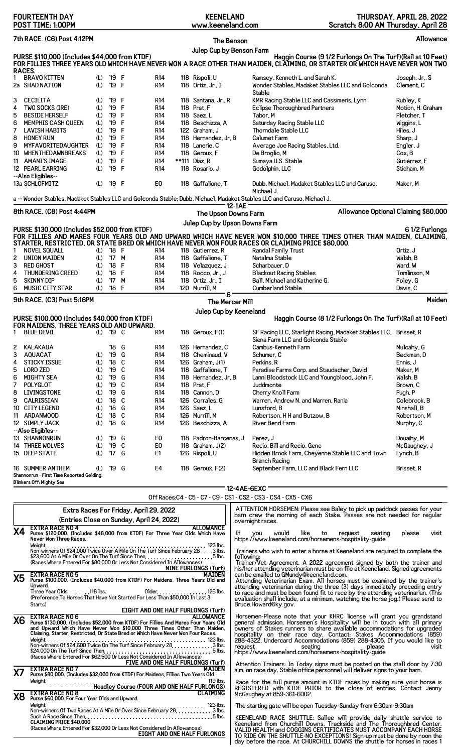| <b>FOURTEENTH DAY</b><br>POST TIME: 1:00PM                                                                                                                                                                   | <b>KEENELAND</b><br>www.keeneland.com     | Scratch: 8:00 AM Thursday, April 28                                                                                                                                                                                                                                                                           | THURSDAY, APRIL 28, 2022         |
|--------------------------------------------------------------------------------------------------------------------------------------------------------------------------------------------------------------|-------------------------------------------|---------------------------------------------------------------------------------------------------------------------------------------------------------------------------------------------------------------------------------------------------------------------------------------------------------------|----------------------------------|
| 7th RACE. (C6) Post 4:12PM                                                                                                                                                                                   | The Benson                                |                                                                                                                                                                                                                                                                                                               | Allowance                        |
| PURSE \$110,000 (Includes \$44,000 from KTDF)                                                                                                                                                                | Julep Cup by Benson Farm                  | Haggin Course (9 1/2 Furlongs On The Turf) (Rail at 10 Feet)                                                                                                                                                                                                                                                  |                                  |
| FOR FILLIES THREE YEARS OLD WHICH HAVE NEVER WON A RACE OTHER THAN MAIDEN, CLAIMING, OR STARTER OR WHICH HAVE NEVER WON TWO<br>RACES.                                                                        |                                           |                                                                                                                                                                                                                                                                                                               |                                  |
| <b>BRAVO KITTEN</b><br>(L) '19 F<br>R <sub>14</sub><br>1<br>'19 F<br>2a SHAD NATION<br>R <sub>14</sub><br>(L)                                                                                                | 118 Rispoli, U<br>118 Ortiz, Jr., I       | Ramsey, Kenneth L. and Sarah K.<br>Wonder Stables, Madaket Stables LLC and Golconda<br>Stable                                                                                                                                                                                                                 | Joseph, Jr., S<br>Clement. C     |
| <b>CECILITA</b><br><b>R14</b><br>3<br>'19 F<br>(L)                                                                                                                                                           | 118 Santana, Jr., R                       | KMR Racing Stable LLC and Cassimeris, Lynn                                                                                                                                                                                                                                                                    | Rubley, K                        |
| 4<br>TWO SOCKS (IRE)<br>'19<br>F<br>R <sub>14</sub><br>(L)<br>5<br>F<br><b>BESIDE HERSELF</b><br>'19<br>R <sub>14</sub><br>(L)                                                                               | 118 Prat, F<br>118 Saez, L                | <b>Eclipse Thoroughbred Partners</b><br>Tabor, M                                                                                                                                                                                                                                                              | Motion, H. Graham<br>Pletcher, T |
| F<br>6<br>'19<br><b>R14</b><br><b>MEMPHIS CASH QUEEN</b><br>(L)                                                                                                                                              | 118 Beschizza, A                          | Saturday Racing Stable LLC                                                                                                                                                                                                                                                                                    | Wiggins, L                       |
| F<br>7<br>'19<br>LAVISH HABITS<br>(L)<br>R14<br>'19<br>F<br><b>HONEY RUN</b>                                                                                                                                 | 122 Graham, J<br>118 Hernandez, Jr, B     | Thorndale Stable LLC<br><b>Calumet Farm</b>                                                                                                                                                                                                                                                                   | Hiles, J                         |
| 8<br>R <sub>14</sub><br>(L)<br>'19<br>F<br>9<br>MYFAVORITEDAUGHTER<br>R <sub>14</sub><br>(L)                                                                                                                 | 118 Lanerie, C                            | Average Joe Racing Stables, Ltd.                                                                                                                                                                                                                                                                              | Sharp, J<br>Engler, J            |
| F<br>(L)<br>'19<br>10<br>WHENTHEDAWNBREAKS<br>R14                                                                                                                                                            | 118 Geroux, F                             | De Broglio, M                                                                                                                                                                                                                                                                                                 | Cox, B                           |
| F<br>11 AMANI'S IMAGE<br>'19<br><b>R14</b><br>(L)<br>'19 F<br>12 PEARL EARRING<br>(L)<br><b>R14</b>                                                                                                          | **111 Diaz, R<br>118 Rosario, J           | Sumaya U.S. Stable<br>Godolphin, LLC                                                                                                                                                                                                                                                                          | Gutierrez, F<br>Stidham, M       |
| --Also Eligibles--<br>13a SCHLOFMITZ<br>'19 F<br>E <sub>0</sub><br>(L)                                                                                                                                       | 118 Gaffalione. T                         | Dubb, Michael, Madaket Stables LLC and Caruso.                                                                                                                                                                                                                                                                | Maker, M                         |
| a -- Wonder Stables, Madaket Stables LLC and Golconda Stable; Dubb, Michael, Madaket Stables LLC and Caruso, Michael J.                                                                                      |                                           | Michael J.                                                                                                                                                                                                                                                                                                    |                                  |
| 8th RACE. (C8) Post 4:44PM                                                                                                                                                                                   | 12-1AE<br>The Upson Downs Farm            | Allowance Optional Claiming \$80,000                                                                                                                                                                                                                                                                          |                                  |
|                                                                                                                                                                                                              | Julep Cup by Upson Downs Farm             |                                                                                                                                                                                                                                                                                                               |                                  |
| PURSE \$130,000 (Includes \$52,000 from KTDF)<br>FOR FILLIES AND MARES FOUR YEARS OLD AND UPWARD WHICH HAVE NEVER WON \$10,000 THREE TIMES OTHER THAN MAIDEN, CLAIMING,                                      |                                           |                                                                                                                                                                                                                                                                                                               | 61/2 Furlongs                    |
| STARTER, RESTRICTED, OR STATE BRED OR WHICH HAVE NEVER WON FOUR RACES OR CLAIMING PRICE \$80,000.<br><b>NOVEL SQUALL</b><br>$'18$ F<br><b>R14</b><br>1<br>(L)                                                | 118 Gutierrez, R                          | Randal Family Trust                                                                                                                                                                                                                                                                                           | Ortiz, J                         |
| 2<br><b>UNION MAIDEN</b><br>'17 M<br>R <sub>14</sub><br>(L)                                                                                                                                                  | 118 Gaffalione, T                         | Natalma Stable                                                                                                                                                                                                                                                                                                | Walsh, B                         |
| 3<br>F<br><b>RED GHOST</b><br>'18<br>R14<br>(L)<br>'18 F                                                                                                                                                     | 118 Velazquez, J                          | Scharbauer, D                                                                                                                                                                                                                                                                                                 | Ward, W<br>Tomlinson, M          |
| 4<br><b>THUNDERING CREED</b><br><b>R14</b><br>(L)<br>5<br><b>SKINNY DIP</b><br>'17 M<br><b>R14</b><br>(L)                                                                                                    | 118 Rocco, Jr., J<br>118 Ortiz, Jr., I    | <b>Blackout Racing Stables</b><br>Ball, Michael and Katherine G.                                                                                                                                                                                                                                              | Foley, G                         |
| 6<br><b>MUSIC CITY STAR</b><br>$'18$ F<br><b>R14</b><br>(L)                                                                                                                                                  | 120 Murrill, M                            | Cumberland Stable                                                                                                                                                                                                                                                                                             | Davis, C                         |
| 9th RACE. (C3) Post 5:16PM                                                                                                                                                                                   | 6<br>The Mercer Mill                      |                                                                                                                                                                                                                                                                                                               | Maiden                           |
| PURSE \$100,000 (Includes \$40,000 from KTDF)                                                                                                                                                                | Julep Cup by Keeneland                    | Haggin Course (8 1/2 Furlongs On The Turf) (Rail at 10 Feet)                                                                                                                                                                                                                                                  |                                  |
| FOR MAIDENS, THREE YEARS OLD AND UPWARD.                                                                                                                                                                     |                                           |                                                                                                                                                                                                                                                                                                               |                                  |
| 1 BLUE DEVIL<br>(L) '19 C<br>R <sub>14</sub>                                                                                                                                                                 | 118 $Geroux F(1)$                         | SF Racing LLC, Starlight Racing, Madaket Stables LLC, Brisset, R<br>Siena Farm LLC and Golconda Stable                                                                                                                                                                                                        |                                  |
| 2 KALAKAUA<br>'18 G<br>R14<br>'19 G<br>3<br><b>AQUACAT</b><br>R <sub>14</sub><br>(L)                                                                                                                         | 126 Hernandez, C<br>118 Cheminaud, V      | Cambus-Kenneth Farm<br>Schumer. C                                                                                                                                                                                                                                                                             | Mulcahy, G<br>Beckman, D         |
| 4<br><b>STICKY ISSUE</b><br>$'18$ C<br>(L)<br>R14                                                                                                                                                            | 126 $Graham, J(1)$                        | Perkins, R                                                                                                                                                                                                                                                                                                    | Ennis. J                         |
| 5<br><b>LORD ZED</b><br>'19 C<br>(L)<br>R14<br>6<br><b>MIGHTY SEA</b><br>'19 G<br>(L)<br>R14                                                                                                                 | 118 Gaffalione, T<br>118 Hernandez, Jr, B | Paradise Farms Corp. and Staudacher, David<br>Lanni Bloodstock LLC and Youngblood, John F.                                                                                                                                                                                                                    | Maker, M<br>Walsh, B             |
| (L) '19 C<br>7<br>POLYGLOT<br><b>R14</b>                                                                                                                                                                     | 118 Prat, F                               | Juddmonte                                                                                                                                                                                                                                                                                                     | Brown, C                         |
| '19 G<br>8<br>LIVINGSTONE<br>(L)<br><b>R14</b>                                                                                                                                                               | 118 Cannon, D                             | Cherry Knoll Farm                                                                                                                                                                                                                                                                                             | Pugh, P                          |
| 9<br>CALRISSIAN<br>'18 C<br>(L)<br>R14<br>'18 G<br>10 CITY LEGEND<br>(L)<br>R14                                                                                                                              | 126 Corrales. G<br>126 Saez.L             | Warren, Andrew N. and Warren, Rania<br>Lunsford, B                                                                                                                                                                                                                                                            | Colebrook, B<br>Minshall, B      |
| $'18$ C<br>11 ARDANWOOD<br>(L)<br><b>R14</b>                                                                                                                                                                 | 126 Murrill, M                            | Robertson, HH and Butzow, B                                                                                                                                                                                                                                                                                   | Robertson, M                     |
| 12 SIMPLY JACK<br>(L)<br>'18 G<br><b>R14</b>                                                                                                                                                                 | 126 Beschizza, A                          | River Bend Farm                                                                                                                                                                                                                                                                                               | Murphy, C                        |
| --Also Eligibles--<br>13 SHANNONRUN<br>(L) '19 G<br>E0                                                                                                                                                       | 118 Padron-Barcenas, J                    | Perez, J                                                                                                                                                                                                                                                                                                      | Douaihy, M                       |
| C<br>E <sub>0</sub><br>14 THREE WOLVES<br>(L) '19<br>15 DEEP STATE<br>(L) '17 G<br>E1                                                                                                                        | 118 Graham, J(2)<br>126 Rispoli, U        | Recio, Bill and Recio, Gene<br>Hidden Brook Farm, Cheyenne Stable LLC and Town                                                                                                                                                                                                                                | McGaughey, J<br>Lynch, B         |
| 16 SUMMER ANTHEM<br>(L) '19 G<br>E4                                                                                                                                                                          | 118 $Geroux, F(2)$                        | <b>Branch Racing</b><br>September Farm, LLC and Black Fern LLC                                                                                                                                                                                                                                                | Brisset, R                       |
| Shannonrun - First Time Reported Gelding.<br>Blinkers Off: Mighty Sea                                                                                                                                        |                                           |                                                                                                                                                                                                                                                                                                               |                                  |
|                                                                                                                                                                                                              |                                           | 12-4AE-6EXC <sup>-</sup><br>Off Races: C4 - C5 - C7 - C9 - CS1 - CS2 - CS3 - CS4 - CX5 - CX6                                                                                                                                                                                                                  |                                  |
| Extra Races For Friday, April 29, 2022                                                                                                                                                                       |                                           | ATTENTION HORSEMEN: Please see Baley to pick up paddock passes for your                                                                                                                                                                                                                                       |                                  |
| (Entries Close on Sunday, April 24, 2022)<br><b>EXTRA RACE NO 4</b>                                                                                                                                          | <b>ALLOWANCE</b>                          | barn crew the morning of each Stake. Passes are not needed for regular<br>overnight races.                                                                                                                                                                                                                    |                                  |
| X4<br>Purse \$120,000. (Includes \$48,000 from KTDF) For Three Year Olds Which Have<br>Never Won Three Races.                                                                                                |                                           | If you<br>would like to request<br>seating<br>https://www.keeneland.com/horsemens-hospitality-guide                                                                                                                                                                                                           | please<br>visit                  |
| \$23,600 At A Mile Or Over On The Turf Since Then5 lbs.                                                                                                                                                      |                                           | Trainers who wish to enter a horse at Keeneland are required to complete the<br>fo11owina:                                                                                                                                                                                                                    |                                  |
| (Races Where Entered For \$80,000 Or Less Not Considered In Allowances)<br>NINE FURLONGS (Turf)                                                                                                              |                                           | Trainer/Vet Agreement. A 2022 agreement signed by both the trainer and<br>his/her attending veterinarian must be on file at Keeneland. Signed agreements                                                                                                                                                      |                                  |
| <b>EXTRA RACE NO 5</b><br><b>X5</b><br>Purse \$100,000. (Includes \$40,000 from KTDF) For Maidens, Three Years Old and                                                                                       | <b>MAIDEN</b>                             | can be emailed to GMundy@keeneland.com.<br>Attending Veterinarian Exam. All horses must be examined by the trainer's                                                                                                                                                                                          |                                  |
| Upward.<br>Three Year Olds. 118 lbs.<br>01der. 126 lbs.<br>(Preference To Horses That Have Not Started For Less Than \$50,000 In Last 3                                                                      |                                           | attending veterinarian during the three (3) days immediately preceding entry to race and must be been found fit to race by the attending veterinarian. (This                                                                                                                                                  |                                  |
| Starts)                                                                                                                                                                                                      |                                           | evaluation shall include, at a minimum, watching the horse jog.) Please send to<br>Bruce.Howard@ky.gov.                                                                                                                                                                                                       |                                  |
| <b>EIGHT AND ONE HALF FURLONGS (Turf)</b><br><b>EXTRA RACE NO 6</b><br><b>X6</b><br>Purse \$130,000. (Includes \$52,000 from KTDF) For Fillies And Mares Four Years Old                                      | ALLOWANCE                                 | Horsemen-Please note that your KHRC license will grant you grandstand general admission. Horsemen's Hospitality will be in touch with all primary                                                                                                                                                             |                                  |
| and Upward Which Have Never Won \$10,000 Three Times Other Than Maiden, Claiming, Starter, Restricted, Or State Bred or Which Have Never Won Four Races.                                                     |                                           |                                                                                                                                                                                                                                                                                                               |                                  |
| Weight.                                                                                                                                                                                                      |                                           | someone of Stakes runners to share available accommodations for upgraded<br>hospitality on their race day. Contact: Stakes Accommodations (859)<br>288-4322, Undercard Accommodations (859) 288-4305. If you would like to                                                                                    |                                  |
| \$24,000 On The Turf Since Then, $\ldots$ , $\ldots$ , $\ldots$ , $\ldots$ , $\ldots$ , $\ldots$ , $\ldots$ , $\ldots$ , $\ldots$<br>(Races Where Entered For \$62,500 Or Less Not Considered In Allowances) |                                           | seating the control of the control of the control of the control of the control of the control of the control of the control of the control of the control of the control of the control of the control of the control of the c<br>request<br>please<br>https://www.keeneland.com/horsemens-hospitality-guide | visit                            |
| <b>FIVE AND ONE HALF FURLONGS (Turf)</b><br><b>EXTRA RACE NO 7</b><br>Х7<br>Purse \$80,000. (Includes \$32,000 from KTDF) For Maidens, Fillies Two Years Old.                                                | MAIDEN                                    | Attention Trainers. In Today signs must be posted on the stall door by 7:30<br>a.m. on race day. Stable office personnel will deliver signs to your barn.                                                                                                                                                     |                                  |
| .119 lbs.<br>Headley Course (FOUR AND ONE HALF FURLONGS) Headley Course (FOUR AND ONE HALF FURLONGS)                                                                                                         |                                           | Race for the full purse amount in KTDF races by making sure your horse is<br>REGISTERED with KTDF PRIOR to the close of entries. Contact Jenny                                                                                                                                                                |                                  |
| <b>EXTRA RACE NO 8</b><br>X8<br>Purse \$60,000. For Four Year Olds and Upward.                                                                                                                               | <b>CLAIMING</b>                           | McGaughey at 859-361-6002.<br>The starting gate will be open Tuesday-Sunday from 6:30am-9:30am                                                                                                                                                                                                                |                                  |
|                                                                                                                                                                                                              |                                           | KEENELAND RACE SHUTTLE: Sallee will provide daily shuttle service to                                                                                                                                                                                                                                          |                                  |
| <b>CLAIMING PRICE \$40,000</b><br>(Races Where Entered For \$32,000 Or Less Not Considered In Allowances)                                                                                                    |                                           | Keeneland from Churchill Downs, Trackside and The Thoroughbred Center.<br>VALID HEALTH and COGGINS CERTIFICATES MUST ACCOMPANY EACH HORSE                                                                                                                                                                     |                                  |
| EIGHT AND ONE HALF FURLONGS                                                                                                                                                                                  |                                           | TO RIDE ON THE SHUTTLE-NO EXCEPTIONS! Sign-up must be done by noon the<br>day before the race. At CHURCHILL DOWNS the shuttle for horses in races 1                                                                                                                                                           |                                  |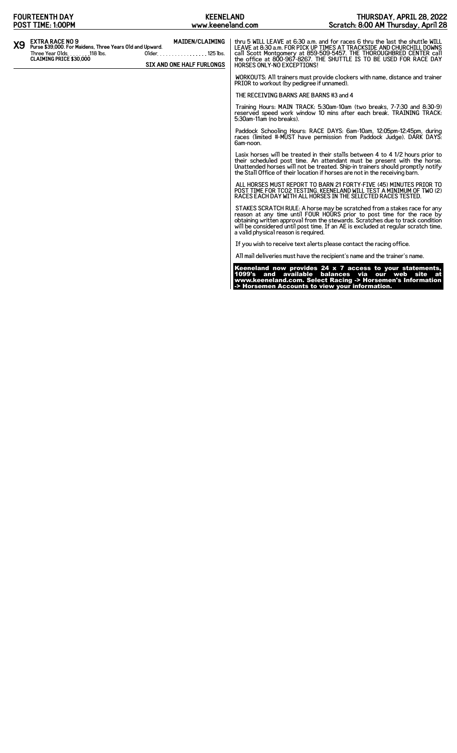| <b>FOURTEENTH DAY</b>                                                                                                                                   | <b>KEENELAND</b>                                                       |                                            | THURSDAY, APRIL 28, 2022                                                                                                                                                                                                                                                                                                   |
|---------------------------------------------------------------------------------------------------------------------------------------------------------|------------------------------------------------------------------------|--------------------------------------------|----------------------------------------------------------------------------------------------------------------------------------------------------------------------------------------------------------------------------------------------------------------------------------------------------------------------------|
| POST TIME: 1:00PM                                                                                                                                       | www.keeneland.com                                                      |                                            | Scratch: 8:00 AM Thursday, April 28                                                                                                                                                                                                                                                                                        |
| <b>EXTRA RACE NO 9</b><br>X9<br>Purse \$39,000. For Maidens, Three Years Old and Upward.<br>Three Year Olds. 118 lbs.<br><b>CLAIMING PRICE \$30.000</b> | <b>MAIDEN/CLAIMING</b><br>Older. 125 lbs.<br>SIX AND ONE HALF FURLONGS | <b>HORSES ONLY-NO EXCEPTIONS!</b>          | thru 5 WILL LEAVE at 6:30 a.m. and for races 6 thru the last the shuttle WILL<br>LEAVE at 8:30 a.m. FOR PICK UP TIMES AT TRACKSIDE AND CHURCHILL DOWNS<br>call Scott Montgomery at 859-509-5457. THE THOROUGHBRED CENTER call<br>the office at 800-967-8267. THE SHUTTLE IS TO BE USED FOR RACE DAY                        |
|                                                                                                                                                         |                                                                        | PRIOR to workout (by pedigree if unnamed). | WORKOUTS: All trainers must provide clockers with name, distance and trainer                                                                                                                                                                                                                                               |
|                                                                                                                                                         |                                                                        | THE RECEIVING BARNS ARE BARNS #3 and 4     |                                                                                                                                                                                                                                                                                                                            |
|                                                                                                                                                         |                                                                        | 5:30am-11am (no breaks).                   | Training Hours: MAIN TRACK: 5:30am-10am (two breaks, 7-7:30 and 8:30-9)<br>reserved speed work window 10 mins after each break. TRAINING TRACK:                                                                                                                                                                            |
|                                                                                                                                                         |                                                                        | 6am-noon.                                  | Paddock Schooling Hours: RACE DAYS: 6am-10am, 12:05pm-12:45pm, during<br>races (limited #-MUST have permission from Paddock Judge). DARK DAYS:                                                                                                                                                                             |
|                                                                                                                                                         |                                                                        |                                            | Lasix horses will be treated in their stalls between 4 to 4 1/2 hours prior to<br>their scheduled post time. An attendant must be present with the horse.<br>Unattended horses will not be treated. Ship-in trainers should promptly notify<br>the Stall Office of their location if horses are not in the receiving barn. |
|                                                                                                                                                         |                                                                        |                                            | ALL HORSES MUST REPORT TO BARN 21 FORTY-FIVE (45) MINUTES PRIOR TO<br>POST TIME FOR TCO2 TESTING. KEENELAND WILL TEST A MINIMUM OF TWO (2)<br>RACES EACH DAY WITH ALL HORSES IN THE SELECTED RACES TESTED.                                                                                                                 |
|                                                                                                                                                         |                                                                        | a valid physical reason is required.       | STAKES SCRATCH RULE: A horse may be scratched from a stakes race for any<br>reason at any time until FOUR HOURS prior to post time for the race by<br>obtaining written approval from the stewards. Scratches due to track condition<br>will be considered until post time. If an AE is excluded at regular scratch time,  |
|                                                                                                                                                         |                                                                        |                                            | If you wish to receive text alerts please contact the racing office.                                                                                                                                                                                                                                                       |
|                                                                                                                                                         |                                                                        |                                            | All mail deliveries must have the recipient's name and the trainer's name.                                                                                                                                                                                                                                                 |
|                                                                                                                                                         |                                                                        |                                            | Keeneland now provides 24 x 7 access to your statements,<br>1099's and available balances via our web site at<br>www.keeneland.com. Select Racing -> Horsemen's Information<br>-> Horsemen Accounts to view your information.                                                                                              |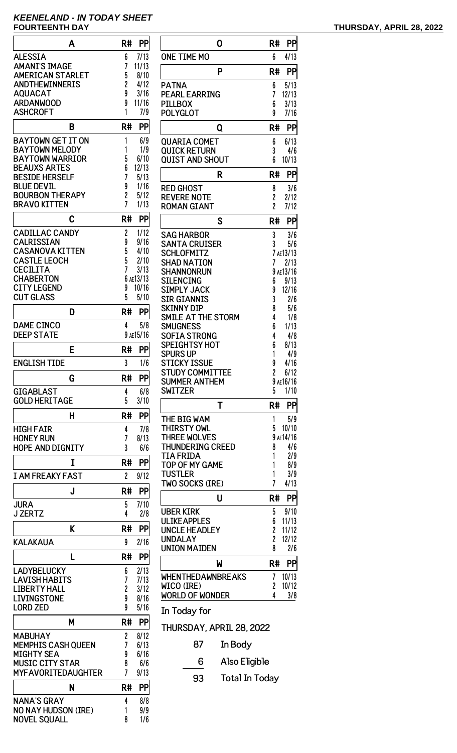# **KEENELAND - IN TODAY SHEET FOURTEENTH DAY THURSDAY, APRIL 28, 2022**

| A                          | R#<br>PP               |
|----------------------------|------------------------|
| <b>ALESSIA</b>             | 7/13<br>6              |
| <b>AMANI'S IMAGE</b>       | 7<br>11/13             |
| <b>AMERICAN STARLET</b>    | 5<br>8/10              |
|                            |                        |
| <b>ANDTHEWINNERIS</b>      | 2<br>4/12              |
| <b>AQUACAT</b>             | 9<br>3/16              |
| <b>ARDANWOOD</b>           | 9<br>11/16             |
| <b>ASHCROFT</b>            | 1<br>7/9               |
| B                          |                        |
|                            | R#<br>PP               |
| <b>BAYTOWN GET IT ON</b>   | 1<br>6/9               |
| <b>BAYTOWN MELODY</b>      | 1<br>1/9               |
| BAYTOWN WARRIOR            | 5<br>6/10              |
| BEAUXS ARTES               | 6<br>12/13             |
| <b>BESIDE HERSELF</b>      | 7<br>5/13              |
| BLUE DEVII                 | 9<br>1/16              |
| <b>BOURBON THERAPY</b>     | 5/12                   |
| <b>BRAVO KITTEN</b>        | 2<br>7<br>1/13         |
|                            |                        |
| C                          | R#<br>PP               |
| <b>CADILLAC CANDY</b>      | 2<br>1/12              |
| <b>CALRISSIAN</b>          |                        |
|                            | 9<br>9/16              |
| <b>CASANOVA KITTEN</b>     | 5<br>4/10              |
| <b>CASTLE LEOCH</b>        | 5<br>2/10              |
| <b>CECILITA</b>            | 7<br>3/13              |
| CHABERTON                  | AE13/13<br>6           |
| <b>CITY LEGEND</b>         | 9<br>10/16             |
| <b>CUT GLASS</b>           | 5<br>5/10              |
|                            |                        |
| D                          | R#<br>PP               |
| <b>DAME CINCO</b>          | 5/8<br>4               |
| <b>DEEP STATE</b>          | 9 AE15/16              |
|                            |                        |
| E                          | R#<br>PP               |
| <b>ENGLISH TIDE</b>        | 3<br>1/6               |
|                            | R#                     |
| G                          | PP                     |
| <b>GIGABLAST</b>           | 4<br>6/8               |
| <b>GOLD HERITAGE</b>       | 5<br>3/10              |
| н                          | PP<br>R#               |
|                            |                        |
| HIGH FAIR                  | 7/8<br>4               |
| <b>HONEY RUN</b>           | 7<br>8/13              |
| <b>HOPE AND DIGNITY</b>    | 3<br>6/6               |
| I                          | R#<br>PP               |
|                            |                        |
| <b>I AM FREAKY FAST</b>    | $\overline{c}$<br>9/12 |
| J                          | PP<br>R#               |
|                            |                        |
| <b>JURA</b>                | 7/10<br>5              |
| <b>J ZERTZ</b>             | 4<br>2/8               |
| K                          | PP<br>R#               |
|                            |                        |
| <b>KALAKAUA</b>            | 9<br>2/16              |
| L                          | R#<br>PP               |
|                            |                        |
| LADYBELUCKY                | 6<br>2/13              |
| LAVISH HABITS              | 7<br>7/13              |
| .IBERTY HALL               | 2<br>3/12              |
| LIVINGSTONE                | 9<br>8/16              |
| <b>LORD ZED</b>            | 9<br>5/16              |
|                            |                        |
| М                          | R#<br>PP               |
| <b>MABUHAY</b>             | 8/12<br>2              |
| <b>MEMPHIS CASH QUEEN</b>  | 7<br>6/13              |
| <b>MIGHTY SEA</b>          | 6/16<br>9              |
| <b>MUSIC CITY STAR</b>     | 8<br>6/6               |
| <b>MYFAVORITEDAUGHTER</b>  | 7<br>9/13              |
|                            |                        |
| N                          | R#<br>PP               |
| <b>NANA'S GRAY</b>         | 4<br>8/8               |
| <b>NO NAY HUDSON (IRE)</b> | 9/9<br>1               |
| <b>NOVEL SQUALL</b>        | 8<br>1/6               |
|                            |                        |

| 0                              | R#             | PP          |
|--------------------------------|----------------|-------------|
| <b>ONE TIME MO</b>             | 6              | 4/13        |
| P                              | R#             | PP          |
| <b>PATNA</b>                   | 6              | 5/13        |
| <b>PEARL EARRING</b>           | 7              | 12/13       |
| <b>PILLBOX</b>                 | 6              | 3/13        |
| <b>POLYGLOT</b>                | 9              | 7/16        |
| Q                              | R#             | PP          |
| <b>QUARIA COMET</b>            | 6              | 6/13        |
| <b>QUICK RETURN</b>            | 3              | 4/6         |
| <b>QUIST AND SHOUT</b>         | 6              | 10/13       |
| R                              | R#             | PP          |
| <b>RED GHOST</b>               | 8              | 3/6         |
| <b>REVERE NOTE</b>             | 2              | 2/12        |
| <b>ROMAN GIANT</b>             | $\overline{c}$ | 7/12        |
| S                              | R#             | PP          |
| <b>SAG HARBOR</b>              | 3              | 3/6         |
| <b>SANTA CRUISER</b>           | 3              | 5/6         |
| <b>SCHLOFMITZ</b>              | 7              | AE13/13     |
| SHAD NATION                    | 7              | 2/13        |
| SHANNONRUN                     | 9              | AE13/16     |
| <b>SILENCING</b>               | 6              | 9/13        |
| <b>SIMPLY JACK</b>             | 9              | 12/16       |
| <b>SIR GIANNIS</b>             | 3              | 2/6         |
| SKINNY DIP                     | 8              | 5/6         |
| SMILE AT THE STORM<br>SMUGNESS | 4<br>6         | 1/8<br>1/13 |
| <b>SOFIA STRONG</b>            | 4              | 4/8         |
| <b>SPEIGHTSY HOT</b>           | 6              | 8/13        |
| Spurs up                       | 1              | 4/9         |
| STICKY ISSUE                   | 9              | 4/16        |
| STUDY COMMITTEE                | $\overline{c}$ | 6/12        |
| SUMMER ANTHEM                  |                | 9 ae 16/16  |
| <b>SWITZER</b>                 | 5              | 1/10        |
| Т                              | R#             | <b>PP</b>   |
| THE BIG WAM                    | 1              | 5/9         |
| <b>THIRSTY OWL</b>             | 5              | 10/10       |
| <b>THREE WOLVES</b>            |                | 9 AE14/16   |
| <b>THUNDERING CREED</b>        | 8              | 4/6         |
| TIA FRIDA                      | 1              | 2/9         |
| <b>TOP OF MY GAME</b>          | 1              | 8/9         |
| <b>TUSTLER</b>                 | 1              | 3/9         |
| TWO SOCKS (IRE)                | 7              | 4/13        |
| U                              | R#             | <b>PP</b>   |
| <b>UBER KIRK</b>               | 5              | 9/10        |
| <b>ULIKEAPPLES</b>             | 6              | 11/13       |
| <b>UNCLE HEADLEY</b>           | 2              | 11/12       |
| <b>UNDALAY</b>                 | 2              | 12/12       |
| <b>UNION MAIDEN</b>            | 8              | 2/6         |
| W                              | R#             | PP          |
| <b>WHENTHEDAWNBREAKS</b>       | 7              | 10/13       |
| WICO (IRE)                     | 2              | 10/12       |
| <b>WORLD OF WONDER</b>         | 4              | 3/8         |
| In Today for                   |                |             |
| THURSDAY, APRIL 28, 2022       |                |             |
|                                |                |             |

# 87 In Body

- 6 Also Eligible
- 93 Total In Today